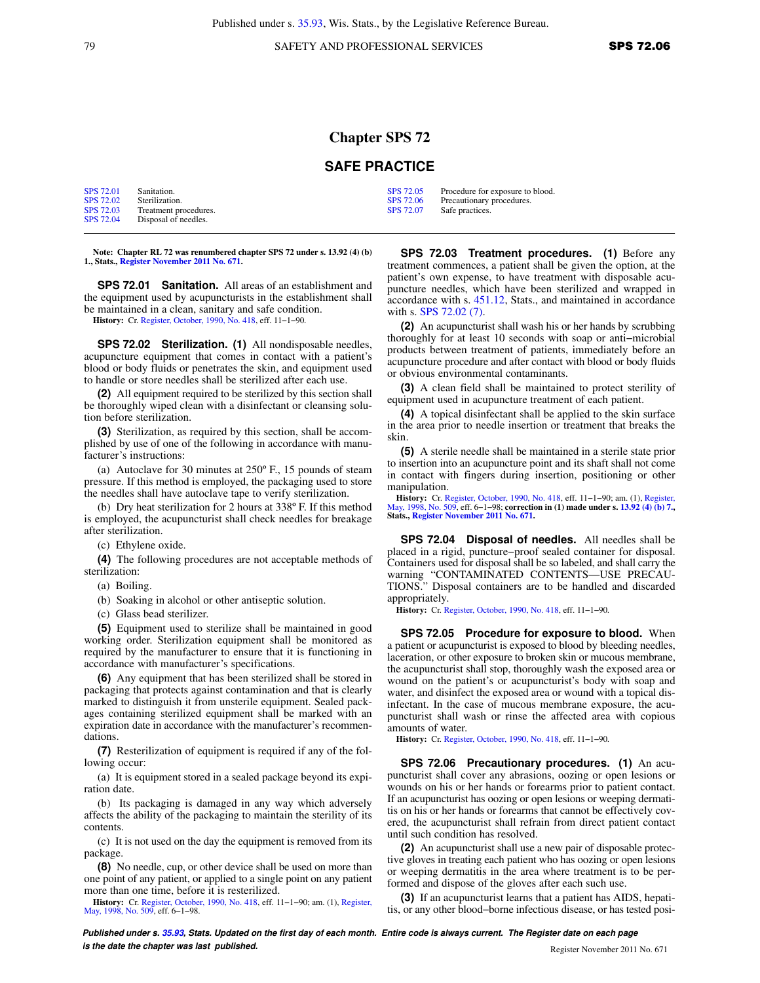## **Chapter SPS 72**

## **SAFE PRACTICE**

| <b>SPS 72.01</b> | Sanitation.           | SPS 72.05 | Procedure for exposure to blood. |
|------------------|-----------------------|-----------|----------------------------------|
| SPS 72.02        | Sterilization.        | SPS 72.06 | Precautionary procedures.        |
| <b>SPS 72.03</b> | Treatment procedures. | SPS 72.07 | Safe practices.                  |
| SPS 72.04        | Disposal of needles.  |           |                                  |

**Note: Chapter RL 72 was renumbered chapter SPS 72 under s. 13.92 (4) (b) 1., Stats., [Register November 2011 No. 671](https://docs.legis.wisconsin.gov/document/register/671/B/toc).**

**SPS 72.01 Sanitation.** All areas of an establishment and the equipment used by acupuncturists in the establishment shall be maintained in a clean, sanitary and safe condition.

**History:** Cr. [Register, October, 1990, No. 418,](https://docs.legis.wisconsin.gov/document/register/418/B/toc) eff. 11−1−90.

**SPS 72.02 Sterilization. (1)** All nondisposable needles, acupuncture equipment that comes in contact with a patient's blood or body fluids or penetrates the skin, and equipment used to handle or store needles shall be sterilized after each use.

**(2)** All equipment required to be sterilized by this section shall be thoroughly wiped clean with a disinfectant or cleansing solution before sterilization.

**(3)** Sterilization, as required by this section, shall be accomplished by use of one of the following in accordance with manufacturer's instructions:

(a) Autoclave for 30 minutes at 250º F., 15 pounds of steam pressure. If this method is employed, the packaging used to store the needles shall have autoclave tape to verify sterilization.

(b) Dry heat sterilization for 2 hours at 338º F. If this method is employed, the acupuncturist shall check needles for breakage after sterilization.

(c) Ethylene oxide.

**(4)** The following procedures are not acceptable methods of sterilization:

(a) Boiling.

(b) Soaking in alcohol or other antiseptic solution.

(c) Glass bead sterilizer.

**(5)** Equipment used to sterilize shall be maintained in good working order. Sterilization equipment shall be monitored as required by the manufacturer to ensure that it is functioning in accordance with manufacturer's specifications.

**(6)** Any equipment that has been sterilized shall be stored in packaging that protects against contamination and that is clearly marked to distinguish it from unsterile equipment. Sealed packages containing sterilized equipment shall be marked with an expiration date in accordance with the manufacturer's recommendations.

**(7)** Resterilization of equipment is required if any of the following occur:

(a) It is equipment stored in a sealed package beyond its expiration date.

(b) Its packaging is damaged in any way which adversely affects the ability of the packaging to maintain the sterility of its contents.

(c) It is not used on the day the equipment is removed from its package.

**(8)** No needle, cup, or other device shall be used on more than one point of any patient, or applied to a single point on any patient more than one time, before it is resterilized.

**History:** Cr. [Register, October, 1990, No. 418,](https://docs.legis.wisconsin.gov/document/register/418/B/toc) eff. 11−1−90; am. (1), [Register,](https://docs.legis.wisconsin.gov/document/register/509/B/toc) [May, 1998, No. 509,](https://docs.legis.wisconsin.gov/document/register/509/B/toc) eff. 6−1−98.

**SPS 72.03 Treatment procedures. (1)** Before any treatment commences, a patient shall be given the option, at the patient's own expense, to have treatment with disposable acupuncture needles, which have been sterilized and wrapped in accordance with s. [451.12,](https://docs.legis.wisconsin.gov/document/statutes/451.12) Stats., and maintained in accordance with s. [SPS 72.02 \(7\).](https://docs.legis.wisconsin.gov/document/administrativecode/SPS%2072.02(7))

**(2)** An acupuncturist shall wash his or her hands by scrubbing thoroughly for at least 10 seconds with soap or anti−microbial products between treatment of patients, immediately before an acupuncture procedure and after contact with blood or body fluids or obvious environmental contaminants.

**(3)** A clean field shall be maintained to protect sterility of equipment used in acupuncture treatment of each patient.

**(4)** A topical disinfectant shall be applied to the skin surface in the area prior to needle insertion or treatment that breaks the skin.

**(5)** A sterile needle shall be maintained in a sterile state prior to insertion into an acupuncture point and its shaft shall not come in contact with fingers during insertion, positioning or other manipulation.

History: Cr. [Register, October, 1990, No. 418,](https://docs.legis.wisconsin.gov/document/register/418/B/toc) eff. 11–1–90; am. (1), [Register,](https://docs.legis.wisconsin.gov/document/register/509/B/toc)<br>[May, 1998, No. 509,](https://docs.legis.wisconsin.gov/document/register/509/B/toc) eff. 6–1–98; correction in (1) made under s. [13.92 \(4\) \(b\) 7.](https://docs.legis.wisconsin.gov/document/statutes/13.92(4)(b)7.),<br>Stats., [Register November 2011 No. 671.](https://docs.legis.wisconsin.gov/document/register/671/B/toc)

**SPS 72.04 Disposal of needles.** All needles shall be placed in a rigid, puncture−proof sealed container for disposal. Containers used for disposal shall be so labeled, and shall carry the warning "CONTAMINATED CONTENTS—USE PRECAU-TIONS." Disposal containers are to be handled and discarded appropriately.

**History:** Cr. [Register, October, 1990, No. 418](https://docs.legis.wisconsin.gov/document/register/418/B/toc), eff. 11−1−90.

**SPS 72.05 Procedure for exposure to blood.** When a patient or acupuncturist is exposed to blood by bleeding needles, laceration, or other exposure to broken skin or mucous membrane, the acupuncturist shall stop, thoroughly wash the exposed area or wound on the patient's or acupuncturist's body with soap and water, and disinfect the exposed area or wound with a topical disinfectant. In the case of mucous membrane exposure, the acupuncturist shall wash or rinse the affected area with copious amounts of water.

**History:** Cr. [Register, October, 1990, No. 418](https://docs.legis.wisconsin.gov/document/register/418/B/toc), eff. 11−1−90.

**SPS 72.06 Precautionary procedures. (1)** An acupuncturist shall cover any abrasions, oozing or open lesions or wounds on his or her hands or forearms prior to patient contact. If an acupuncturist has oozing or open lesions or weeping dermatitis on his or her hands or forearms that cannot be effectively covered, the acupuncturist shall refrain from direct patient contact until such condition has resolved.

**(2)** An acupuncturist shall use a new pair of disposable protective gloves in treating each patient who has oozing or open lesions or weeping dermatitis in the area where treatment is to be performed and dispose of the gloves after each such use.

**(3)** If an acupuncturist learns that a patient has AIDS, hepatitis, or any other blood−borne infectious disease, or has tested posi-

**Published under s. [35.93,](https://docs.legis.wisconsin.gov/document/statutes/35.93) Stats. Updated on the first day of each month. Entire code is always current. The Register date on each page is the date the chapter was last published. is the date the chapter was last published.** Register November 2011 No. 671